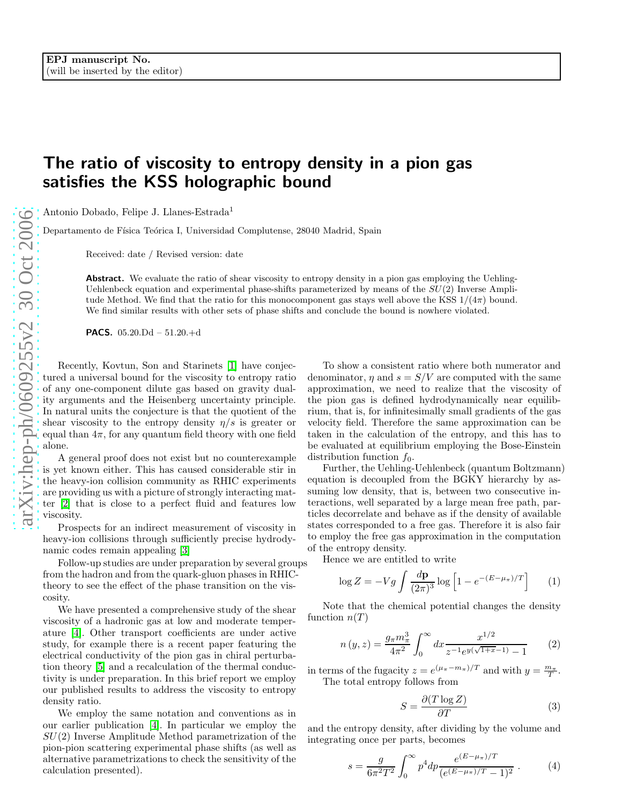## The ratio of viscosity to entropy density in a pion gas satisfies the KSS holographic bound

Antonio Dobado, Felipe J. Llanes-Estrada 1

Departamento de Física Teórica I, Universidad Complutense, 28040 Madrid, Spain

Received: date / Revised version: date

Abstract. We evaluate the ratio of shear viscosity to entropy density in a pion gas employing the Uehling-Uehlenbeck equation and experimental phase-shifts parameterized by means of the  $SU(2)$  Inverse Amplitude Method. We find that the ratio for this monocomponent gas stays well above the KSS  $1/(4\pi)$  bound. We find similar results with other sets of phase shifts and conclude the bound is nowhere violated.

**PACS.**  $05.20 \text{ Dd} - 51.20 + d$ 

Recently, Kovtun, Son and Starinets [\[1\]](#page-2-0) have conjectured a universal bound for the viscosity to entropy ratio of any one-component dilute gas based on gravity duality arguments and the Heisenberg uncertainty principle. In natural units the conjecture is that the quotient of the shear viscosity to the entropy density  $\eta/s$  is greater or equal than  $4\pi$ , for any quantum field theory with one field alone.

A general proof does not exist but no counterexample is yet known either. This has caused considerable stir in the heavy-ion collision community as RHIC experiments are providing us with a picture of strongly interacting matter [\[2\]](#page-2-1) that is close to a perfect fluid and features low viscosity.

Prospects for an indirect measurement of viscosity in heavy-ion collisions through sufficiently precise hydrodynamic codes remain appealing [\[3\]](#page-2-2)

Follow-up studies are under preparation by several groups from the hadron and from the quark-gluon phases in RHICtheory to see the effect of the phase transition on the viscosity.

We have presented a comprehensive study of the shear viscosity of a hadronic gas at low and moderate temperature [\[4\]](#page-2-3). Other transport coefficients are under active study, for example there is a recent paper featuring the electrical conductivity of the pion gas in chiral perturbation theory [\[5\]](#page-2-4) and a recalculation of the thermal conductivity is under preparation. In this brief report we employ our published results to address the viscosity to entropy density ratio.

We employ the same notation and conventions as in our earlier publication [\[4\]](#page-2-3). In particular we employ the  $SU(2)$  Inverse Amplitude Method parametrization of the pion-pion scattering experimental phase shifts (as well as alternative parametrizations to check the sensitivity of the calculation presented).

To show a consistent ratio where both numerator and denominator,  $\eta$  and  $s = S/V$  are computed with the same approximation, we need to realize that the viscosity of the pion gas is defined hydrodynamically near equilibrium, that is, for infinitesimally small gradients of the gas velocity field. Therefore the same approximation can be taken in the calculation of the entropy, and this has to be evaluated at equilibrium employing the Bose-Einstein distribution function  $f_0$ .

Further, the Uehling-Uehlenbeck (quantum Boltzmann) equation is decoupled from the BGKY hierarchy by assuming low density, that is, between two consecutive interactions, well separated by a large mean free path, particles decorrelate and behave as if the density of available states corresponded to a free gas. Therefore it is also fair to employ the free gas approximation in the computation of the entropy density.

Hence we are entitled to write

$$
\log Z = -Vg \int \frac{d\mathbf{p}}{(2\pi)^3} \log \left[1 - e^{-(E - \mu_\pi)/T}\right] \tag{1}
$$

Note that the chemical potential changes the density function  $n(T)$ 

$$
n(y,z) = \frac{g_{\pi}m_{\pi}^3}{4\pi^2} \int_0^{\infty} dx \frac{x^{1/2}}{z^{-1}e^{y(\sqrt{1+x}-1)} - 1}
$$
 (2)

in terms of the fugacity  $z = e^{(\mu_{\pi} - m_{\pi})/T}$  and with  $y = \frac{m_{\pi}}{T}$ . The total entropy follows from

$$
S = \frac{\partial (T \log Z)}{\partial T} \tag{3}
$$

and the entropy density, after dividing by the volume and integrating once per parts, becomes

$$
s = \frac{g}{6\pi^2 T^2} \int_0^\infty p^4 dp \frac{e^{(E-\mu_\pi)/T}}{(e^{(E-\mu_\pi)/T}-1)^2} . \tag{4}
$$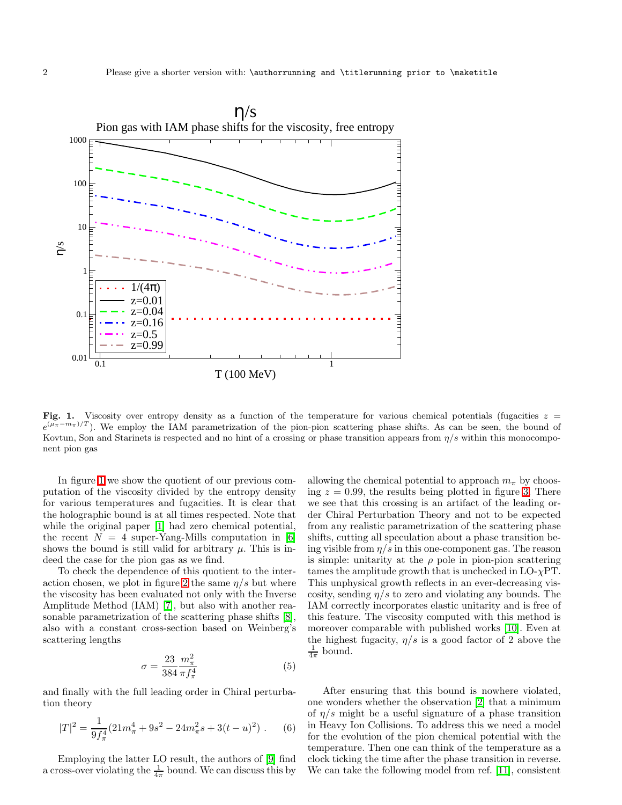

<span id="page-1-0"></span>Fig. 1. Viscosity over entropy density as a function of the temperature for various chemical potentials (fugacities  $z =$  $e^{(\mu_{\pi}-m_{\pi})/T}$ ). We employ the IAM parametrization of the pion-pion scattering phase shifts. As can be seen, the bound of Kovtun, Son and Starinets is respected and no hint of a crossing or phase transition appears from  $\eta/s$  within this monocomponent pion gas

In figure [1](#page-1-0) we show the quotient of our previous computation of the viscosity divided by the entropy density for various temperatures and fugacities. It is clear that the holographic bound is at all times respected. Note that while the original paper [\[1\]](#page-2-0) had zero chemical potential, the recent  $N = 4$  super-Yang-Mills computation in [\[6\]](#page-2-5) shows the bound is still valid for arbitrary  $\mu$ . This is indeed the case for the pion gas as we find.

To check the dependence of this quotient to the inter-action chosen, we plot in figure [2](#page-2-6) the same  $\eta/s$  but where the viscosity has been evaluated not only with the Inverse Amplitude Method (IAM) [\[7\]](#page-2-7), but also with another reasonable parametrization of the scattering phase shifts [\[8\]](#page-2-8), also with a constant cross-section based on Weinberg's scattering lengths

$$
\sigma = \frac{23}{384} \frac{m_{\pi}^2}{\pi f_{\pi}^4} \tag{5}
$$

and finally with the full leading order in Chiral perturbation theory

$$
|T|^2 = \frac{1}{9f_\pi^4} (21m_\pi^4 + 9s^2 - 24m_\pi^2 s + 3(t - u)^2) \ . \tag{6}
$$

Employing the latter LO result, the authors of [\[9\]](#page-2-9) find a cross-over violating the  $\frac{1}{4\pi}$  bound. We can discuss this by

allowing the chemical potential to approach  $m_{\pi}$  by choosing  $z = 0.99$ , the results being plotted in figure [3.](#page-3-0) There we see that this crossing is an artifact of the leading order Chiral Perturbation Theory and not to be expected from any realistic parametrization of the scattering phase shifts, cutting all speculation about a phase transition being visible from  $\eta/s$  in this one-component gas. The reason is simple: unitarity at the  $\rho$  pole in pion-pion scattering tames the amplitude growth that is unchecked in  $LO-\gamma PT$ . This unphysical growth reflects in an ever-decreasing viscosity, sending  $\eta/s$  to zero and violating any bounds. The IAM correctly incorporates elastic unitarity and is free of this feature. The viscosity computed with this method is moreover comparable with published works [\[10\]](#page-2-10). Even at the highest fugacity,  $\eta/s$  is a good factor of 2 above the  $\frac{1}{4\pi}$  bound.

After ensuring that this bound is nowhere violated, one wonders whether the observation [\[2\]](#page-2-1) that a minimum of  $\eta/s$  might be a useful signature of a phase transition in Heavy Ion Collisions. To address this we need a model for the evolution of the pion chemical potential with the temperature. Then one can think of the temperature as a clock ticking the time after the phase transition in reverse. We can take the following model from ref. [\[11\]](#page-2-11), consistent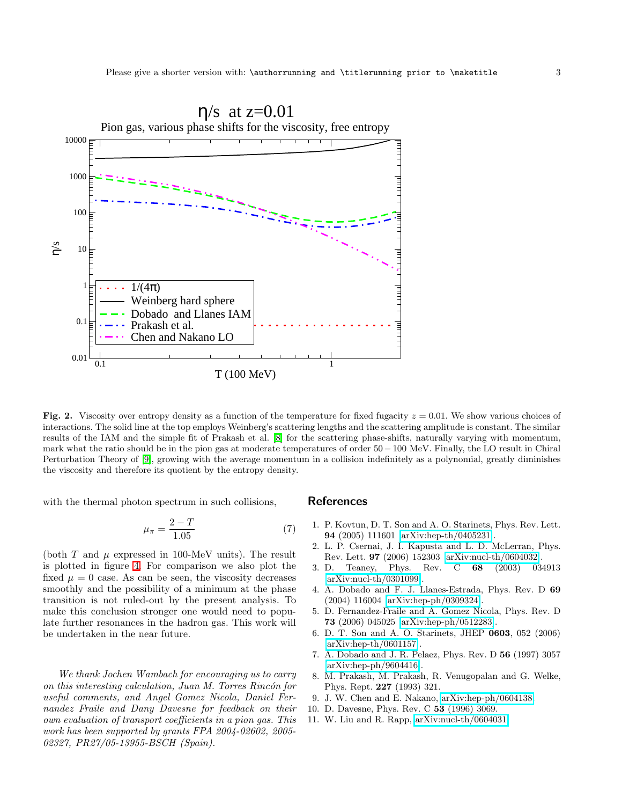

<span id="page-2-6"></span>Fig. 2. Viscosity over entropy density as a function of the temperature for fixed fugacity  $z = 0.01$ . We show various choices of interactions. The solid line at the top employs Weinberg's scattering lengths and the scattering amplitude is constant. The similar results of the IAM and the simple fit of Prakash et al. [\[8\]](#page-2-8) for the scattering phase-shifts, naturally varying with momentum, mark what the ratio should be in the pion gas at moderate temperatures of order 50−100 MeV. Finally, the LO result in Chiral Perturbation Theory of [\[9\]](#page-2-9), growing with the average momentum in a collision indefinitely as a polynomial, greatly diminishes the viscosity and therefore its quotient by the entropy density.

<span id="page-2-12"></span>with the thermal photon spectrum in such collisions,

$$
\mu_{\pi} = \frac{2 - T}{1.05} \tag{7}
$$

(both T and  $\mu$  expressed in 100-MeV units). The result is plotted in figure [4.](#page-4-0) For comparison we also plot the fixed  $\mu = 0$  case. As can be seen, the viscosity decreases smoothly and the possibility of a minimum at the phase transition is not ruled-out by the present analysis. To make this conclusion stronger one would need to populate further resonances in the hadron gas. This work will be undertaken in the near future.

We thank Jochen Wambach for encouraging us to carry on this interesting calculation, Juan M. Torres Rincón for useful comments, and Angel Gomez Nicola, Daniel Fernandez Fraile and Dany Davesne for feedback on their own evaluation of transport coefficients in a pion gas. This work has been supported by grants FPA 2004-02602, 2005- 02327, PR27/05-13955-BSCH (Spain).

## <span id="page-2-0"></span>References

- <span id="page-2-1"></span>1. P. Kovtun, D. T. Son and A. O. Starinets, Phys. Rev. Lett. 94 (2005) 111601 [\[arXiv:hep-th/0405231\]](http://arXiv.org/abs/hep-th/0405231).
- 2. L. P. Csernai, J. I. Kapusta and L. D. McLerran, Phys. Rev. Lett. 97 (2006) 152303 [\[arXiv:nucl-th/0604032\]](http://arXiv.org/abs/nucl-th/0604032).
- <span id="page-2-2"></span>3. D. Teaney, Phys. Rev. C 68 (2003) 034913 [\[arXiv:nucl-th/0301099\]](http://arXiv.org/abs/nucl-th/0301099).
- <span id="page-2-3"></span>4. A. Dobado and F. J. Llanes-Estrada, Phys. Rev. D 69 (2004) 116004 [\[arXiv:hep-ph/0309324\]](http://arXiv.org/abs/hep-ph/0309324).
- <span id="page-2-4"></span>5. D. Fernandez-Fraile and A. Gomez Nicola, Phys. Rev. D 73 (2006) 045025 [\[arXiv:hep-ph/0512283\]](http://arXiv.org/abs/hep-ph/0512283).
- <span id="page-2-5"></span>6. D. T. Son and A. O. Starinets, JHEP 0603, 052 (2006) [\[arXiv:hep-th/0601157\]](http://arXiv.org/abs/hep-th/0601157).
- <span id="page-2-7"></span>7. A. Dobado and J. R. Pelaez, Phys. Rev. D 56 (1997) 3057 [\[arXiv:hep-ph/9604416\]](http://arXiv.org/abs/hep-ph/9604416).
- <span id="page-2-8"></span>8. M. Prakash, M. Prakash, R. Venugopalan and G. Welke, Phys. Rept. 227 (1993) 321.
- 9. J. W. Chen and E. Nakano, [arXiv:hep-ph/0604138.](http://arXiv.org/abs/hep-ph/0604138)
- <span id="page-2-10"></span><span id="page-2-9"></span>10. D. Davesne, Phys. Rev. C 53 (1996) 3069.
- <span id="page-2-11"></span>11. W. Liu and R. Rapp, [arXiv:nucl-th/0604031.](http://arXiv.org/abs/nucl-th/0604031)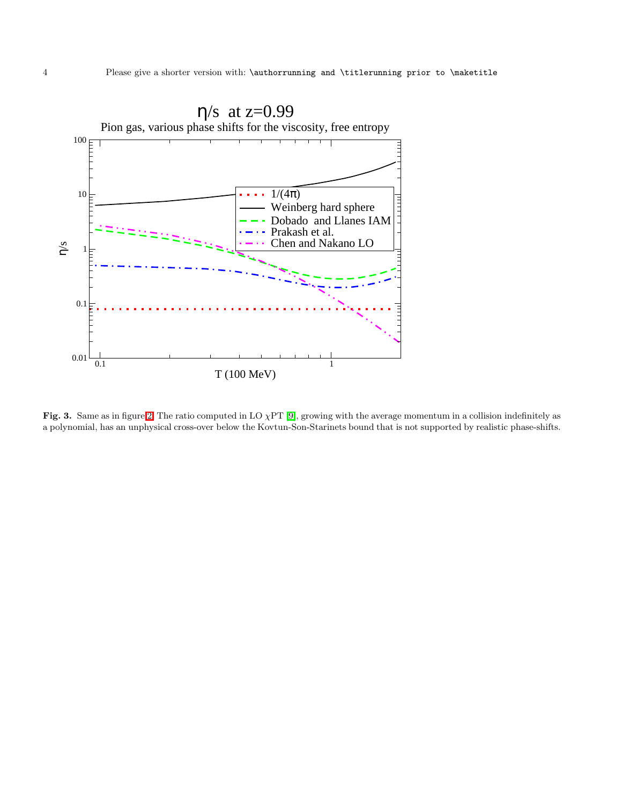

<span id="page-3-0"></span>Fig. 3. Same as in figure [2.](#page-2-6) The ratio computed in LO  $\chi PT$  [\[9\]](#page-2-9), growing with the average momentum in a collision indefinitely as a polynomial, has an unphysical cross-over below the Kovtun-Son-Starinets bound that is not supported by realistic phase-shifts.